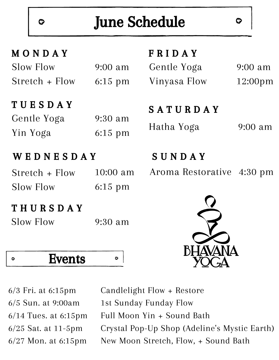# June Schedule

С

9:00 am

12:00pm

| MONDAY |  |  |  |
|--------|--|--|--|
|        |  |  |  |

Ø

| Slow Flow      | $9:00 \text{ am}$ |
|----------------|-------------------|
| Stretch + Flow | $6:15$ pm         |

### T U E S D A Y

| Gentle Yoga | $9:30$ am |
|-------------|-----------|
| Yin Yoga    | $6:15$ pm |

### W E D N E S D A Y

| Stretch + Flow | 10:00 am  |
|----------------|-----------|
| Slow Flow      | $6:15$ pm |

### T H U R S D A Y

| <b>Slow Flow</b> | $9:30$ am |
|------------------|-----------|
|------------------|-----------|

 $\ddot{\circ}$ 

Events  $\ddot{Q}$ 

6/3 Fri. at 6:15pm 6/5 Sun. at 9:00am 6/14 Tues. at 6:15pm 6/25 Sat. at 11-5pm 6/27 Mon. at 6:15pm

Candlelight Flow + Restore 1st Sunday Funday Flow Full Moon Yin + Sound Bath Crystal Pop-Up Shop (Adeline's Mystic Earth) New Moon Stretch, Flow, + Sound Bath

S U N D A Y

F R I D A Y

Gentle Yoga

Vinyasa Flow

S A T U R D A Y

Aroma Restorative 4:30 pm

Hatha Yoga 9:00 am